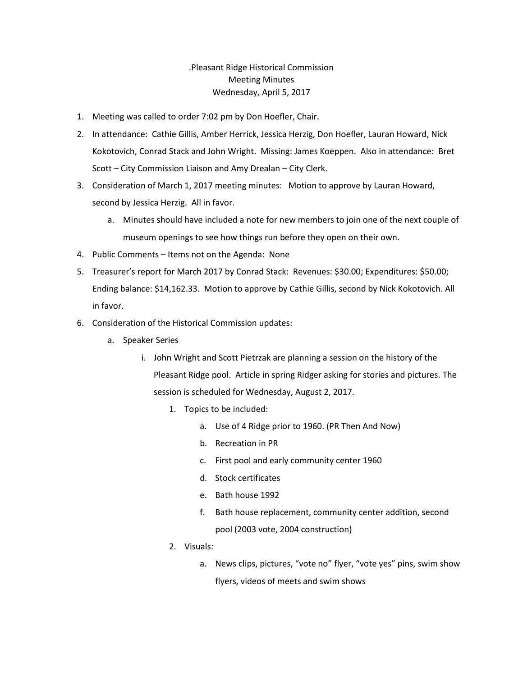## .Pleasant Ridge Historical Commission Meeting Minutes Wednesday, April 5, 2017

- 1. Meeting was called to order 7:02 pm by Don Hoefler, Chair.
- 2. In attendance: Cathie Gillis, Amber Herrick, Jessica Herzig, Don Hoefler, Lauran Howard, Nick Kokotovich, Conrad Stack and John Wright. Missing: James Koeppen. Also in attendance: Bret Scott – City Commission Liaison and Amy Drealan – City Clerk.
- 3. Consideration of March 1, 2017 meeting minutes: Motion to approve by Lauran Howard, second by Jessica Herzig. All in favor.
	- a. Minutes should have included a note for new members to join one of the next couple of museum openings to see how things run before they open on their own.
- 4. Public Comments Items not on the Agenda: None
- 5. Treasurer's report for March 2017 by Conrad Stack: Revenues: \$30.00; Expenditures: \$50.00; Ending balance: \$14,162.33. Motion to approve by Cathie Gillis, second by Nick Kokotovich. All in favor.
- 6. Consideration of the Historical Commission updates:
	- a. Speaker Series
		- i. John Wright and Scott Pietrzak are planning a session on the history of the Pleasant Ridge pool. Article in spring Ridger asking for stories and pictures. The session is scheduled for Wednesday, August 2, 2017.
			- 1. Topics to be included:
				- a. Use of 4 Ridge prior to 1960. (PR Then And Now)
				- b. Recreation in PR
				- c. First pool and early community center 1960
				- d. Stock certificates
				- e. Bath house 1992
				- f. Bath house replacement, community center addition, second pool (2003 vote, 2004 construction)
			- 2. Visuals:
				- a. News clips, pictures, "vote no" flyer, "vote yes" pins, swim show flyers, videos of meets and swim shows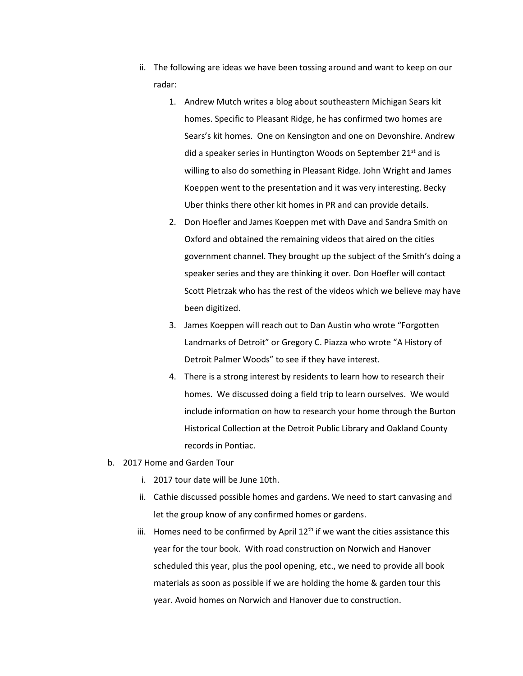- ii. The following are ideas we have been tossing around and want to keep on our radar:
	- 1. Andrew Mutch writes a blog about southeastern Michigan Sears kit homes. Specific to Pleasant Ridge, he has confirmed two homes are Sears's kit homes. One on Kensington and one on Devonshire. Andrew did a speaker series in Huntington Woods on September 21<sup>st</sup> and is willing to also do something in Pleasant Ridge. John Wright and James Koeppen went to the presentation and it was very interesting. Becky Uber thinks there other kit homes in PR and can provide details.
	- 2. Don Hoefler and James Koeppen met with Dave and Sandra Smith on Oxford and obtained the remaining videos that aired on the cities government channel. They brought up the subject of the Smith's doing a speaker series and they are thinking it over. Don Hoefler will contact Scott Pietrzak who has the rest of the videos which we believe may have been digitized.
	- 3. James Koeppen will reach out to Dan Austin who wrote "Forgotten Landmarks of Detroit" or Gregory C. Piazza who wrote "A History of Detroit Palmer Woods" to see if they have interest.
	- 4. There is a strong interest by residents to learn how to research their homes. We discussed doing a field trip to learn ourselves. We would include information on how to research your home through the Burton Historical Collection at the Detroit Public Library and Oakland County records in Pontiac.
- b. 2017 Home and Garden Tour
	- i. 2017 tour date will be June 10th.
	- ii. Cathie discussed possible homes and gardens. We need to start canvasing and let the group know of any confirmed homes or gardens.
	- iii. Homes need to be confirmed by April  $12<sup>th</sup>$  if we want the cities assistance this year for the tour book. With road construction on Norwich and Hanover scheduled this year, plus the pool opening, etc., we need to provide all book materials as soon as possible if we are holding the home & garden tour this year. Avoid homes on Norwich and Hanover due to construction.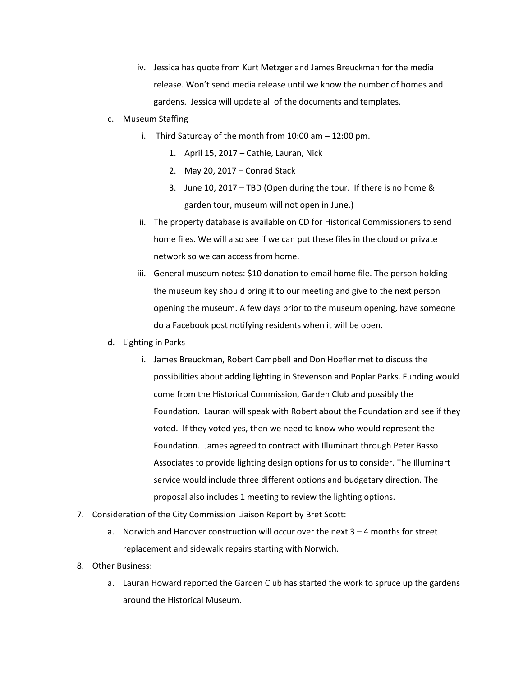- iv. Jessica has quote from Kurt Metzger and James Breuckman for the media release. Won't send media release until we know the number of homes and gardens. Jessica will update all of the documents and templates.
- c. Museum Staffing
	- i. Third Saturday of the month from 10:00 am 12:00 pm.
		- 1. April 15, 2017 Cathie, Lauran, Nick
		- 2. May 20, 2017 Conrad Stack
		- 3. June 10, 2017 TBD (Open during the tour. If there is no home & garden tour, museum will not open in June.)
	- ii. The property database is available on CD for Historical Commissioners to send home files. We will also see if we can put these files in the cloud or private network so we can access from home.
	- iii. General museum notes: \$10 donation to email home file. The person holding the museum key should bring it to our meeting and give to the next person opening the museum. A few days prior to the museum opening, have someone do a Facebook post notifying residents when it will be open.
- d. Lighting in Parks
	- i. James Breuckman, Robert Campbell and Don Hoefler met to discuss the possibilities about adding lighting in Stevenson and Poplar Parks. Funding would come from the Historical Commission, Garden Club and possibly the Foundation. Lauran will speak with Robert about the Foundation and see if they voted. If they voted yes, then we need to know who would represent the Foundation. James agreed to contract with Illuminart through Peter Basso Associates to provide lighting design options for us to consider. The Illuminart service would include three different options and budgetary direction. The proposal also includes 1 meeting to review the lighting options.
- 7. Consideration of the City Commission Liaison Report by Bret Scott:
	- a. Norwich and Hanover construction will occur over the next 3 4 months for street replacement and sidewalk repairs starting with Norwich.
- 8. Other Business:
	- a. Lauran Howard reported the Garden Club has started the work to spruce up the gardens around the Historical Museum.